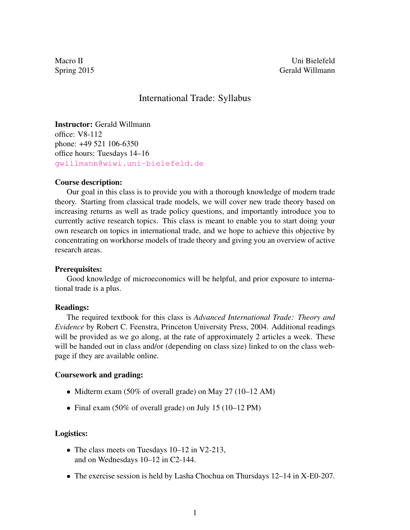Macro II Uni Bielefeld Spring 2015 Gerald Willmann

# International Trade: Syllabus

Instructor: Gerald Willmann office: V8-112 phone: +49 521 106-6350 office hours: Tuesdays 14–16 [gwillmann@wiwi.uni-bielefeld.de](mailto:gwillmann@wiwi.uni-bielefeld.de)

#### Course description:

Our goal in this class is to provide you with a thorough knowledge of modern trade theory. Starting from classical trade models, we will cover new trade theory based on increasing returns as well as trade policy questions, and importantly introduce you to currently active research topics. This class is meant to enable you to start doing your own research on topics in international trade, and we hope to achieve this objective by concentrating on workhorse models of trade theory and giving you an overview of active research areas.

#### Prerequisites:

Good knowledge of microeconomics will be helpful, and prior exposure to international trade is a plus.

### Readings:

The required textbook for this class is *Advanced International Trade: Theory and Evidence* by Robert C. Feenstra, Princeton University Press, 2004. Additional readings will be provided as we go along, at the rate of approximately 2 articles a week. These will be handed out in class and/or (depending on class size) linked to on the class webpage if they are available online.

### Coursework and grading:

- Midterm exam (50% of overall grade) on May 27 (10–12 AM)
- Final exam (50% of overall grade) on July 15 (10–12 PM)

#### Logistics:

- The class meets on Tuesdays 10–12 in V2-213, and on Wednesdays 10–12 in C2-144.
- The exercise session is held by Lasha Chochua on Thursdays 12–14 in X-E0-207.